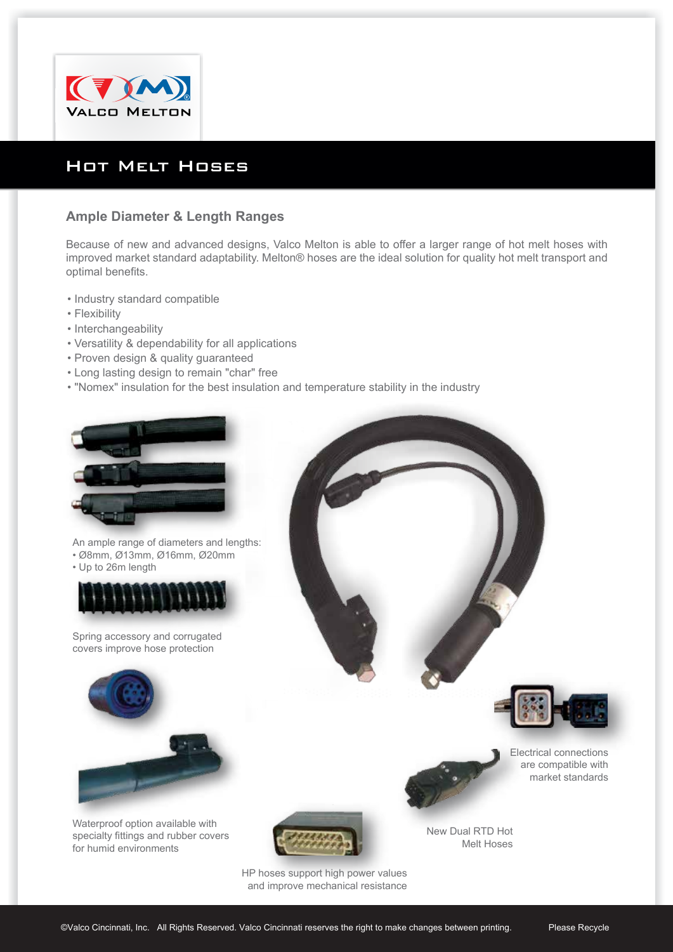

## Hot Melt Hoses

## **Ample Diameter & Length Ranges**

Because of new and advanced designs, Valco Melton is able to offer a larger range of hot melt hoses with improved market standard adaptability. Melton® hoses are the ideal solution for quality hot melt transport and optimal benefits.

- Industry standard compatible
- Flexibility
- Interchangeability
- Versatility & dependability for all applications
- Proven design & quality guaranteed
- Long lasting design to remain "char" free
- "Nomex" insulation for the best insulation and temperature stability in the industry



An ample range of diameters and lengths: • Ø8mm, Ø13mm, Ø16mm, Ø20mm

• Up to 26m length



Spring accessory and corrugated covers improve hose protection



Waterproof option available with specialty fittings and rubber covers for humid environments





New Dual RTD Hot Melt Hoses

HP hoses support high power values and improve mechanical resistance Electrical connections are compatible with market standards